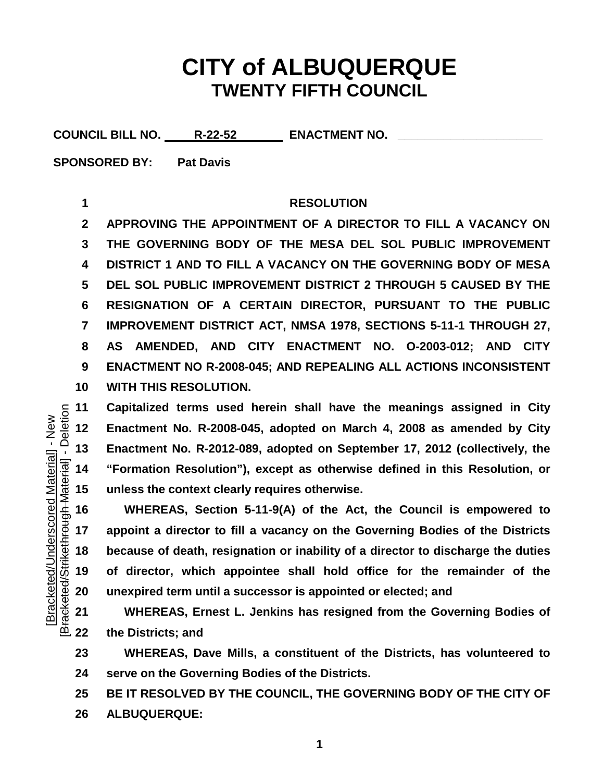## **CITY of ALBUQUERQUE TWENTY FIFTH COUNCIL**

COUNCIL BILL NO. R-22-52 ENACTMENT NO.

**SPONSORED BY: Pat Davis**

## **RESOLUTION**

 **APPROVING THE APPOINTMENT OF A DIRECTOR TO FILL A VACANCY ON THE GOVERNING BODY OF THE MESA DEL SOL PUBLIC IMPROVEMENT DISTRICT 1 AND TO FILL A VACANCY ON THE GOVERNING BODY OF MESA DEL SOL PUBLIC IMPROVEMENT DISTRICT 2 THROUGH 5 CAUSED BY THE RESIGNATION OF A CERTAIN DIRECTOR, PURSUANT TO THE PUBLIC IMPROVEMENT DISTRICT ACT, NMSA 1978, SECTIONS 5-11-1 THROUGH 27, AS AMENDED, AND CITY ENACTMENT NO. O-2003-012; AND CITY ENACTMENT NO R-2008-045; AND REPEALING ALL ACTIONS INCONSISTENT WITH THIS RESOLUTION.**

 **Capitalized terms used herein shall have the meanings assigned in City Enactment No. R-2008-045, adopted on March 4, 2008 as amended by City "Formation Resolution"), except as otherwise defined in this Resolution, or unless the context clearly requires otherwise.**

 Enactment No. R-2012-089, adopted on September 17, 2012 (collectively, the  $\frac{1}{36}$  14 "Formation Resolution"), except as otherwise defined in this Resolution, or unless the context clearly requires otherwise.<br> **15 WHEREAS, Section 5-11-9(A) of the Act, the Council is empowered to appoint a director to fill a vacancy on the Governing Bodies of the Districts because of death, resignation or inability of a director to discharge the duties of director, which appointee shall hold office for the remainder of the unexpired term until a successor is appointed or elected; and**

 **WHEREAS, Ernest L. Jenkins has resigned from the Governing Bodies of the Districts; and** 

 **WHEREAS, Dave Mills, a constituent of the Districts, has volunteered to serve on the Governing Bodies of the Districts.**

 **BE IT RESOLVED BY THE COUNCIL, THE GOVERNING BODY OF THE CITY OF ALBUQUERQUE:**